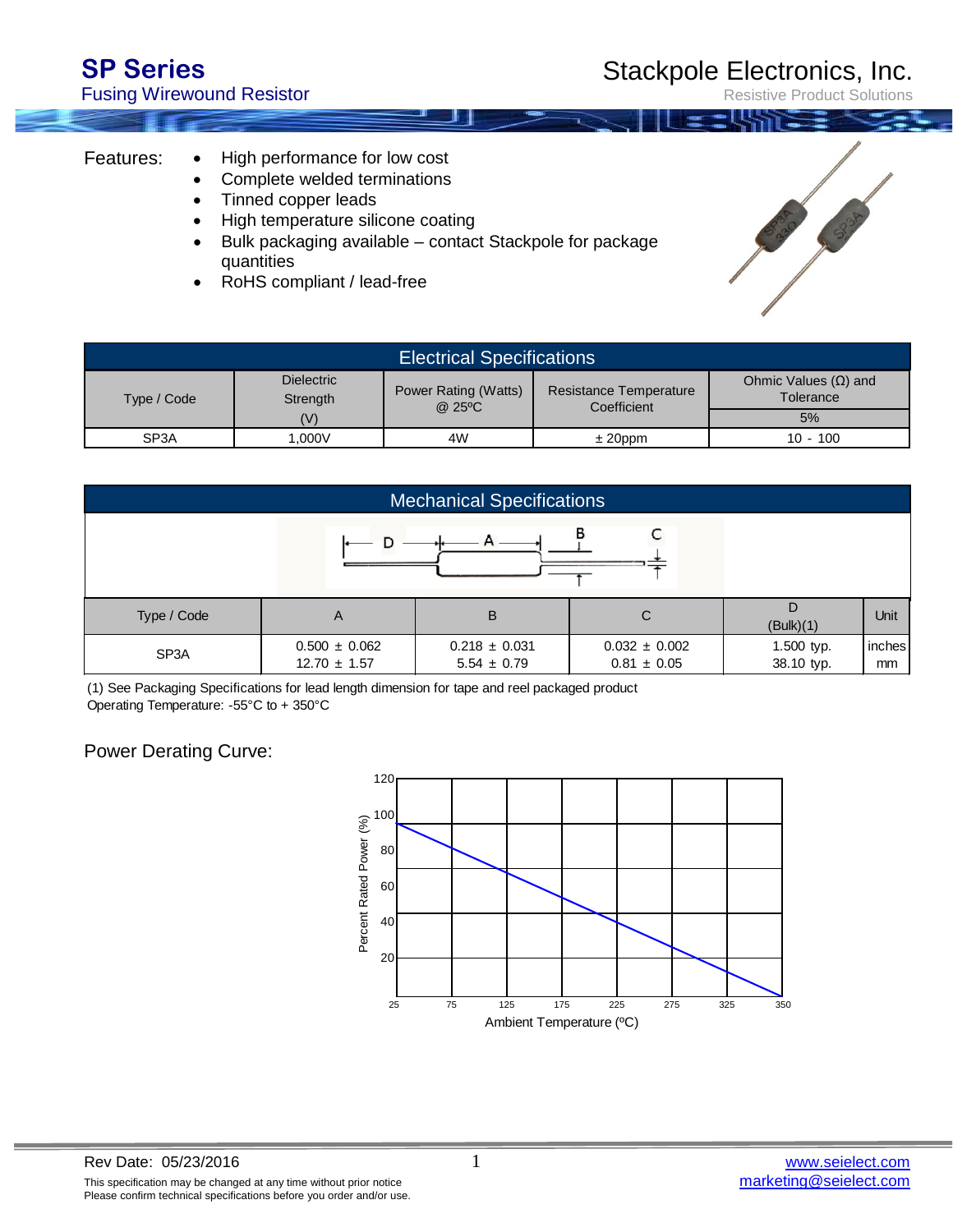Fusing Wirewound Resistor

Resistive Product Solutions

## Features:

- High performance for low cost
- Complete welded terminations
- Tinned copper leads
- High temperature silicone coating
- Bulk packaging available contact Stackpole for package quantities
- RoHS compliant / lead-free

| <b>Electrical Specifications</b> |                               |                                |                                              |                                          |  |  |  |
|----------------------------------|-------------------------------|--------------------------------|----------------------------------------------|------------------------------------------|--|--|--|
| Type / Code                      | <b>Dielectric</b><br>Strength | Power Rating (Watts)<br>@.25°C | <b>Resistance Temperature</b><br>Coefficient | Ohmic Values $(\Omega)$ and<br>Tolerance |  |  |  |
|                                  | (V)                           |                                |                                              | 5%                                       |  |  |  |
| SP <sub>3</sub> A                | 0.000V                        | 4W                             | $± 20$ ppm                                   | $10 - 100$                               |  |  |  |

| <b>Mechanical Specifications</b> |                                       |                                      |                                      |                          |              |  |  |  |  |
|----------------------------------|---------------------------------------|--------------------------------------|--------------------------------------|--------------------------|--------------|--|--|--|--|
| в                                |                                       |                                      |                                      |                          |              |  |  |  |  |
| Type / Code                      | A                                     | B                                    | С                                    | (Bulk)(1)                | Unit         |  |  |  |  |
| SP <sub>3</sub> A                | $0.500 \pm 0.062$<br>$12.70 \pm 1.57$ | $0.218 \pm 0.031$<br>$5.54 \pm 0.79$ | $0.032 \pm 0.002$<br>$0.81 \pm 0.05$ | 1.500 typ.<br>38.10 typ. | inches<br>mm |  |  |  |  |

Operating Temperature: -55°C to + 350°C (1) See Packaging [Specifications](https://www.application-datasheet.com/) for lead length dimension for tape and reel packaged product

## Power Derating Curve: